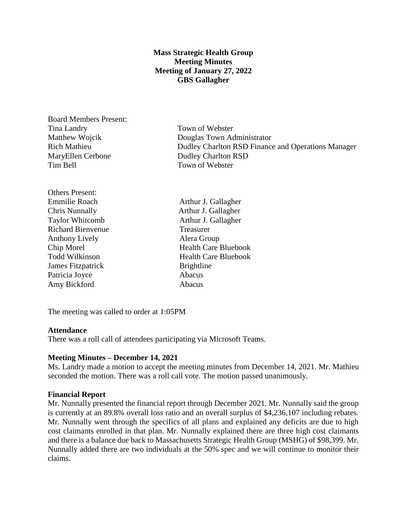### **Mass Strategic Health Group Meeting Minutes Meeting of January 27, 2022 GBS Gallagher**

Board Members Present: Tina Landry Town of Webster MaryEllen Cerbone Dudley Charlton RSD Tim Bell Town of Webster

Others Present: Richard Bienvenue Treasurer Anthony Lively **Alera Group James Fitzpatrick Brightline** Patricia Joyce Abacus Amy Bickford **Abacus** 

Matthew Wojcik Douglas Town Administrator Rich Mathieu Dudley Charlton RSD Finance and Operations Manager

Emmilie Roach Arthur J. Gallagher Chris Nunnally Arthur J. Gallagher Taylor Whitcomb Arthur J. Gallagher Chip Morel Health Care Bluebook Todd Wilkinson **Health Care Bluebook** 

The meeting was called to order at 1:05PM

#### **Attendance**

There was a roll call of attendees participating via Microsoft Teams.

#### **Meeting Minutes – December 14, 2021**

Ms. Landry made a motion to accept the meeting minutes from December 14, 2021. Mr. Mathieu seconded the motion. There was a roll call vote. The motion passed unanimously.

#### **Financial Report**

Mr. Nunnally presented the financial report through December 2021. Mr. Nunnally said the group is currently at an 89.8% overall loss ratio and an overall surplus of \$4,236,107 including rebates. Mr. Nunnally went through the specifics of all plans and explained any deficits are due to high cost claimants enrolled in that plan. Mr. Nunnally explained there are three high cost claimants and there is a balance due back to Massachusetts Strategic Health Group (MSHG) of \$98,399. Mr. Nunnally added there are two individuals at the 50% spec and we will continue to monitor their claims.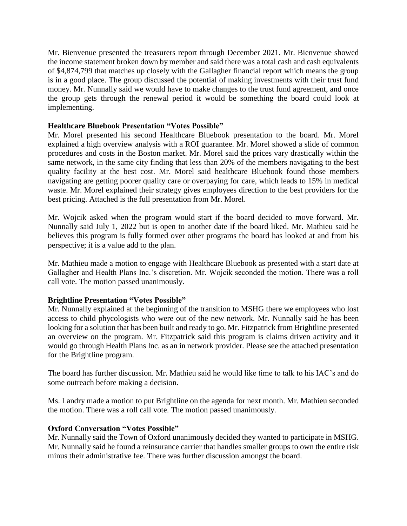Mr. Bienvenue presented the treasurers report through December 2021. Mr. Bienvenue showed the income statement broken down by member and said there was a total cash and cash equivalents of \$4,874,799 that matches up closely with the Gallagher financial report which means the group is in a good place. The group discussed the potential of making investments with their trust fund money. Mr. Nunnally said we would have to make changes to the trust fund agreement, and once the group gets through the renewal period it would be something the board could look at implementing.

### **Healthcare Bluebook Presentation "Votes Possible"**

Mr. Morel presented his second Healthcare Bluebook presentation to the board. Mr. Morel explained a high overview analysis with a ROI guarantee. Mr. Morel showed a slide of common procedures and costs in the Boston market. Mr. Morel said the prices vary drastically within the same network, in the same city finding that less than 20% of the members navigating to the best quality facility at the best cost. Mr. Morel said healthcare Bluebook found those members navigating are getting poorer quality care or overpaying for care, which leads to 15% in medical waste. Mr. Morel explained their strategy gives employees direction to the best providers for the best pricing. Attached is the full presentation from Mr. Morel.

Mr. Wojcik asked when the program would start if the board decided to move forward. Mr. Nunnally said July 1, 2022 but is open to another date if the board liked. Mr. Mathieu said he believes this program is fully formed over other programs the board has looked at and from his perspective; it is a value add to the plan.

Mr. Mathieu made a motion to engage with Healthcare Bluebook as presented with a start date at Gallagher and Health Plans Inc.'s discretion. Mr. Wojcik seconded the motion. There was a roll call vote. The motion passed unanimously.

#### **Brightline Presentation "Votes Possible"**

Mr. Nunnally explained at the beginning of the transition to MSHG there we employees who lost access to child phycologists who were out of the new network. Mr. Nunnally said he has been looking for a solution that has been built and ready to go. Mr. Fitzpatrick from Brightline presented an overview on the program. Mr. Fitzpatrick said this program is claims driven activity and it would go through Health Plans Inc. as an in network provider. Please see the attached presentation for the Brightline program.

The board has further discussion. Mr. Mathieu said he would like time to talk to his IAC's and do some outreach before making a decision.

Ms. Landry made a motion to put Brightline on the agenda for next month. Mr. Mathieu seconded the motion. There was a roll call vote. The motion passed unanimously.

## **Oxford Conversation "Votes Possible"**

Mr. Nunnally said the Town of Oxford unanimously decided they wanted to participate in MSHG. Mr. Nunnally said he found a reinsurance carrier that handles smaller groups to own the entire risk minus their administrative fee. There was further discussion amongst the board.